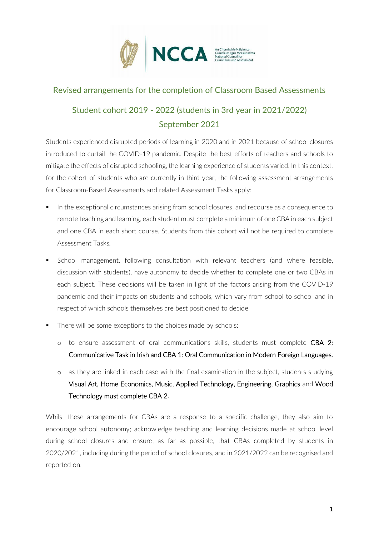

#### Revised arrangements for the completion of Classroom Based Assessments

# Student cohort 2019 - 2022 (students in 3rd year in 2021/2022) September 2021

Students experienced disrupted periods of learning in 2020 and in 2021 because of school closures introduced to curtail the COVID-19 pandemic. Despite the best efforts of teachers and schools to mitigate the effects of disrupted schooling, the learning experience of students varied. In this context, for the cohort of students who are currently in third year, the following assessment arrangements for Classroom-Based Assessments and related Assessment Tasks apply:

- In the exceptional circumstances arising from school closures, and recourse as a consequence to remote teaching and learning, each student must complete a minimum of one CBA in each subject and one CBA in each short course. Students from this cohort will not be required to complete Assessment Tasks.
- School management, following consultation with relevant teachers (and where feasible, discussion with students), have autonomy to decide whether to complete one or two CBAs in each subject. These decisions will be taken in light of the factors arising from the COVID-19 pandemic and their impacts on students and schools, which vary from school to school and in respect of which schools themselves are best positioned to decide
- There will be some exceptions to the choices made by schools:
	- o to ensure assessment of oral communications skills, students must complete CBA 2: Communicative Task in Irish and CBA 1: Oral Communication in Modern Foreign Languages.
	- o as they are linked in each case with the final examination in the subject, students studying Visual Art, Home Economics, Music, Applied Technology, Engineering, Graphics and Wood Technology must complete CBA 2.

Whilst these arrangements for CBAs are a response to a specific challenge, they also aim to encourage school autonomy; acknowledge teaching and learning decisions made at school level during school closures and ensure, as far as possible, that CBAs completed by students in 2020/2021, including during the period of school closures, and in 2021/2022 can be recognised and reported on.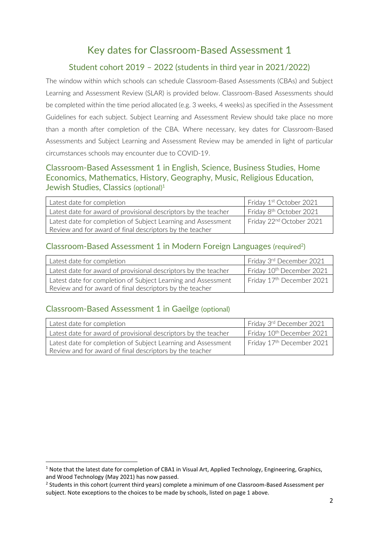# Key dates for Classroom-Based Assessment 1

# Student cohort 2019 – 2022 (students in third year in 2021/2022)

The window within which schools can schedule Classroom-Based Assessments (CBAs) and Subject Learning and Assessment Review (SLAR) is provided below. Classroom-Based Assessments should be completed within the time period allocated (e.g. 3 weeks, 4 weeks) as specified in the Assessment Guidelines for each subject. Subject Learning and Assessment Review should take place no more than a month after completion of the CBA. Where necessary, key dates for Classroom-Based Assessments and Subject Learning and Assessment Review may be amended in light of particular circumstances schools may encounter due to COVID-19.

## Classroom-Based Assessment 1 in English, Science, Business Studies, Home Economics, Mathematics, History, Geography, Music, Religious Education, Jewish Studies, Classics (optional)<sup>1</sup>

| Latest date for completion                                      | Friday 1 <sup>st</sup> October 2021  |
|-----------------------------------------------------------------|--------------------------------------|
| Latest date for award of provisional descriptors by the teacher | Friday 8 <sup>th</sup> October 2021  |
| Latest date for completion of Subject Learning and Assessment   | Friday 22 <sup>nd</sup> October 2021 |
| Review and for award of final descriptors by the teacher        |                                      |

#### Classroom-Based Assessment 1 in Modern Foreign Languages (required<sup>2</sup>)

| Latest date for completion                                      | Friday 3rd December 2021              |
|-----------------------------------------------------------------|---------------------------------------|
| Latest date for award of provisional descriptors by the teacher | Friday 10 <sup>th</sup> December 2021 |
| Latest date for completion of Subject Learning and Assessment   | Friday 17 <sup>th</sup> December 2021 |
| Review and for award of final descriptors by the teacher        |                                       |

### Classroom-Based Assessment 1 in Gaeilge (optional)

| Latest date for completion                                      | Friday 3rd December 2021              |
|-----------------------------------------------------------------|---------------------------------------|
| Latest date for award of provisional descriptors by the teacher | Friday 10 <sup>th</sup> December 2021 |
| Latest date for completion of Subject Learning and Assessment   | Friday 17 <sup>th</sup> December 2021 |
| Review and for award of final descriptors by the teacher        |                                       |

<sup>&</sup>lt;sup>1</sup> Note that the latest date for completion of CBA1 in Visual Art, Applied Technology, Engineering, Graphics, and Wood Technology (May 2021) has now passed.

<sup>&</sup>lt;sup>2</sup> Students in this cohort (current third years) complete a minimum of one Classroom-Based Assessment per subject. Note exceptions to the choices to be made by schools, listed on page 1 above.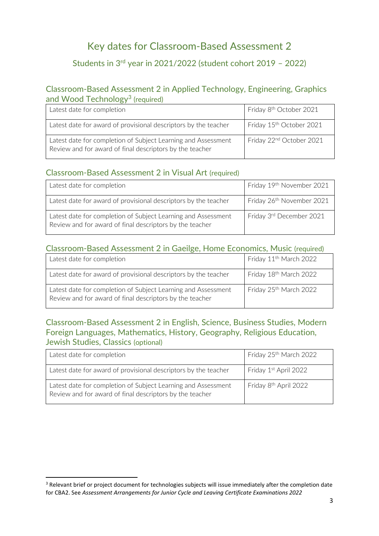# Key dates for Classroom-Based Assessment 2

# Students in 3rd year in 2021/2022 (student cohort 2019 – 2022)

#### Classroom-Based Assessment 2 in Applied Technology, Engineering, Graphics and Wood Technology<sup>3</sup> (required)

| Latest date for completion                                                                                                | Friday 8 <sup>th</sup> October 2021  |
|---------------------------------------------------------------------------------------------------------------------------|--------------------------------------|
| Latest date for award of provisional descriptors by the teacher                                                           | Friday 15 <sup>th</sup> October 2021 |
| Latest date for completion of Subject Learning and Assessment<br>Review and for award of final descriptors by the teacher | Friday 22 <sup>nd</sup> October 2021 |

#### Classroom-Based Assessment 2 in Visual Art (required)

| Latest date for completion                                                                                                | Friday 19th November 2021 |
|---------------------------------------------------------------------------------------------------------------------------|---------------------------|
| Latest date for award of provisional descriptors by the teacher                                                           | Friday 26th November 2021 |
| Latest date for completion of Subject Learning and Assessment<br>Review and for award of final descriptors by the teacher | Friday 3rd December 2021  |

### Classroom-Based Assessment 2 in Gaeilge, Home Economics, Music (required)

| Latest date for completion                                                                                                | Friday 11 <sup>th</sup> March 2022 |
|---------------------------------------------------------------------------------------------------------------------------|------------------------------------|
| Latest date for award of provisional descriptors by the teacher                                                           | Friday 18th March 2022             |
| Latest date for completion of Subject Learning and Assessment<br>Review and for award of final descriptors by the teacher | Friday 25 <sup>th</sup> March 2022 |

### Classroom-Based Assessment 2 in English, Science, Business Studies, Modern Foreign Languages, Mathematics, History, Geography, Religious Education, Jewish Studies, Classics (optional)

| Latest date for completion                                                                                                | Friday 25 <sup>th</sup> March 2022 |
|---------------------------------------------------------------------------------------------------------------------------|------------------------------------|
| Latest date for award of provisional descriptors by the teacher                                                           | Friday 1 <sup>st</sup> April 2022  |
| Latest date for completion of Subject Learning and Assessment<br>Review and for award of final descriptors by the teacher | Friday 8 <sup>th</sup> April 2022  |

<sup>&</sup>lt;sup>3</sup> Relevant brief or project document for technologies subjects will issue immediately after the completion date for CBA2. See *Assessment Arrangements for Junior Cycle and Leaving Certificate Examinations 2022*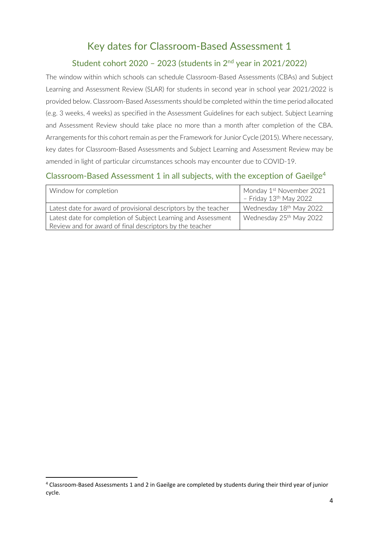# Key dates for Classroom-Based Assessment 1

## Student cohort 2020 - 2023 (students in  $2<sup>nd</sup>$  year in 2021/2022)

The window within which schools can schedule Classroom-Based Assessments (CBAs) and Subject Learning and Assessment Review (SLAR) for students in second year in school year 2021/2022 is provided below. Classroom-Based Assessments should be completed within the time period allocated (e.g. 3 weeks, 4 weeks) as specified in the Assessment Guidelines for each subject. Subject Learning and Assessment Review should take place no more than a month after completion of the CBA. Arrangements for this cohort remain as per the Framework for Junior Cycle (2015). Where necessary, key dates for Classroom-Based Assessments and Subject Learning and Assessment Review may be amended in light of particular circumstances schools may encounter due to COVID-19.

## Classroom-Based Assessment 1 in all subjects, with the exception of Gaeilge<sup>4</sup>

| Window for completion                                           | Monday 1 <sup>st</sup> November 2021<br>- Friday 13 <sup>th</sup> May 2022 |
|-----------------------------------------------------------------|----------------------------------------------------------------------------|
| Latest date for award of provisional descriptors by the teacher | Wednesday 18 <sup>th</sup> May 2022                                        |
| Latest date for completion of Subject Learning and Assessment   | Wednesday 25 <sup>th</sup> May 2022                                        |
| Review and for award of final descriptors by the teacher        |                                                                            |

<sup>4</sup> Classroom-Based Assessments 1 and 2 in Gaeilge are completed by students during their third year of junior cycle.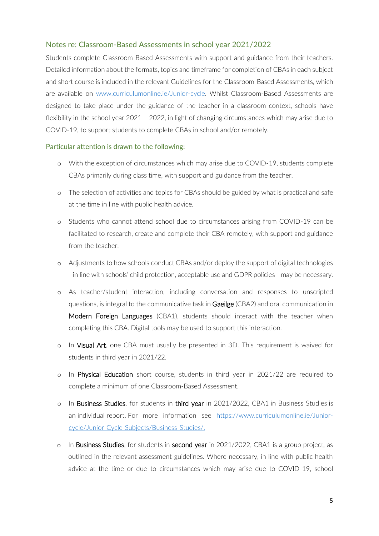#### Notes re: Classroom-Based Assessments in school year 2021/2022

Students complete Classroom-Based Assessments with support and guidance from their teachers. Detailed information about the formats, topics and timeframe for completion of CBAs in each subject and short course is included in the relevant Guidelines for the Classroom-Based Assessments, which are available on [www.curriculumonline.ie/Junior-cycle.](http://www.curriculumonline.ie/Junior-cycle) Whilst Classroom-Based Assessments are designed to take place under the guidance of the teacher in a classroom context, schools have flexibility in the school year 2021 – 2022, in light of changing circumstances which may arise due to COVID-19, to support students to complete CBAs in school and/or remotely.

#### Particular attention is drawn to the following:

- o With the exception of circumstances which may arise due to COVID-19, students complete CBAs primarily during class time, with support and guidance from the teacher.
- o The selection of activities and topics for CBAs should be guided by what is practical and safe at the time in line with public health advice.
- o Students who cannot attend school due to circumstances arising from COVID-19 can be facilitated to research, create and complete their CBA remotely, with support and guidance from the teacher.
- o Adjustments to how schools conduct CBAs and/or deploy the support of digital technologies - in line with schools' child protection, acceptable use and GDPR policies - may be necessary.
- o As teacher/student interaction, including conversation and responses to unscripted questions, is integral to the communicative task in Gaeilge (CBA2) and oral communication in Modern Foreign Languages (CBA1), students should interact with the teacher when completing this CBA. Digital tools may be used to support this interaction.
- o In Visual Art, one CBA must usually be presented in 3D. This requirement is waived for students in third year in 2021/22.
- o In Physical Education short course, students in third year in 2021/22 are required to complete a minimum of one Classroom-Based Assessment.
- o In Business Studies, for students in third year in 2021/2022, CBA1 in Business Studies is an individual report. For more information see [https://www.curriculumonline.ie/Junior](https://www.curriculumonline.ie/Junior-cycle/Junior-Cycle-Subjects/Business-Studies/)[cycle/Junior-Cycle-Subjects/Business-Studies/.](https://www.curriculumonline.ie/Junior-cycle/Junior-Cycle-Subjects/Business-Studies/)
- $\circ$  In Business Studies, for students in second year in 2021/2022, CBA1 is a group project, as outlined in the relevant assessment guidelines. Where necessary, in line with public health advice at the time or due to circumstances which may arise due to COVID-19, school